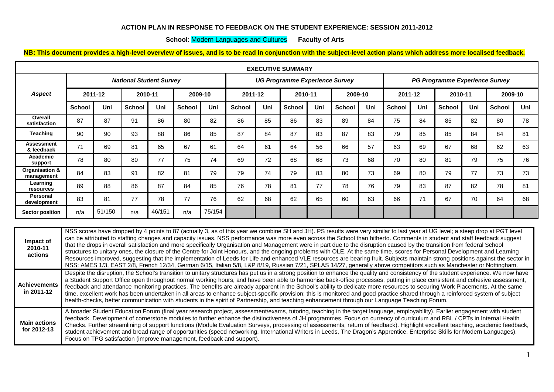## **ACTION PLAN IN RESPONSE TO FEEDBACK ON THE STUDENT EXPERIENCE: SESSION 2011-2012**

## **School**: Modern Languages and Cultures **Faculty of Arts**

**NB: This document provides a high-level overview of issues, and is to be read in conjunction with the subject-level action plans which address more localised feedback.**

| <b>EXECUTIVE SUMMARY</b>     |                                |        |               |        |               |                                       |               |     |               |     |                                |     |               |     |               |     |               |     |
|------------------------------|--------------------------------|--------|---------------|--------|---------------|---------------------------------------|---------------|-----|---------------|-----|--------------------------------|-----|---------------|-----|---------------|-----|---------------|-----|
|                              | <b>National Student Survey</b> |        |               |        |               | <b>UG Programme Experience Survey</b> |               |     |               |     | PG Programme Experience Survey |     |               |     |               |     |               |     |
| <b>Aspect</b>                | 2011-12                        |        | 2010-11       |        | 2009-10       |                                       | 2011-12       |     | 2010-11       |     | 2009-10                        |     | 2011-12       |     | 2010-11       |     | 2009-10       |     |
|                              | <b>School</b>                  | Uni    | <b>School</b> | Uni    | <b>School</b> | Uni                                   | <b>School</b> | Uni | <b>School</b> | Uni | <b>School</b>                  | Uni | <b>School</b> | Uni | <b>School</b> | Uni | <b>School</b> | Uni |
| Overall<br>satisfaction      | 87                             | 87     | 91            | 86     | 80            | 82                                    | 86            | 85  | 86            | 83  | 89                             | 84  | 75            | 84  | 85            | 82  | 80            | 78  |
| <b>Teaching</b>              | 90                             | 90     | 93            | 88     | 86            | 85                                    | 87            | 84  | 87            | 83  | 87                             | 83  | 79            | 85  | 85            | 84  | 84            | 81  |
| Assessment<br>& feedback     | 71                             | 69     | 81            | 65     | 67            | 61                                    | 64            | 61  | 64            | 56  | 66                             | 57  | 63            | 69  | 67            | 68  | 62            | 63  |
| Academic<br>support          | 78                             | 80     | 80            | 77     | 75            | 74                                    | 69            | 72  | 68            | 68  | 73                             | 68  | 70            | 80  | 81            | 79  | 75            | 76  |
| Organisation &<br>management | 84                             | 83     | 91            | 82     | 81            | 79                                    | 79            | 74  | 79            | 83  | 80                             | 73  | 69            | 80  | 79            | 77  | 73            | 73  |
| Learning<br>resources        | 89                             | 88     | 86            | 87     | 84            | 85                                    | 76            | 78  | 81            | 77  | 78                             | 76  | 79            | 83  | 87            | 82  | 78            | 81  |
| Personal<br>development      | 83                             | 81     | 77            | 78     | 77            | 76                                    | 62            | 68  | 62            | 65  | 60                             | 63  | 66            | 71  | 67            | 70  | 64            | 68  |
| <b>Sector position</b>       | n/a                            | 51/150 | n/a           | 46/151 | n/a           | 75/154                                |               |     |               |     |                                |     |               |     |               |     |               |     |

| Impact of<br>2010-11<br>actions    | NSS scores have dropped by 4 points to 87 (actually 3, as of this year we combine SH and JH). PS results were very similar to last year at UG level; a steep drop at PGT level<br>can be attributed to staffing changes and capacity issues. NSS performance was more even across the School than hitherto. Comments in student and staff feedback suggest<br>that the drops in overall satisfaction and more specifically Organisation and Management were in part due to the disruption caused by the transition from federal School<br>structures to unitary ones, the closure of the Centre for Joint Honours, and the ongoing problems with OLE. At the same time, scores for Personal Development and Learning<br>Resources improved, suggesting that the implementation of Leeds for Life and enhanced VLE resources are bearing fruit. Subjects maintain strong positions against the sector in<br>NSS: AMES 1/3, EAST 2/8, French 12/34, German 6/15, Italian 5/8, L&P 8/19, Russian 7/21, SPLAS 14/27, generally above competitors such as Manchester or Nottingham. |
|------------------------------------|--------------------------------------------------------------------------------------------------------------------------------------------------------------------------------------------------------------------------------------------------------------------------------------------------------------------------------------------------------------------------------------------------------------------------------------------------------------------------------------------------------------------------------------------------------------------------------------------------------------------------------------------------------------------------------------------------------------------------------------------------------------------------------------------------------------------------------------------------------------------------------------------------------------------------------------------------------------------------------------------------------------------------------------------------------------------------------|
| <b>Achievements</b><br>in 2011-12  | Despite the disruption, the School's transition to unitary structures has put us in a strong position to enhance the quality and consistency of the student experience. We now have<br>a Student Support Office open throughout normal working hours, and have been able to harmonise back-office processes, putting in place consistent and cohesive assessment,<br>feedback and attendance monitoring practices. The benefits are already apparent in the School's ability to dedicate more resources to securing Work Placements, At the same<br>time, excellent work has been undertaken in all areas to enhance subject-specific provision; this is monitored and good practice shared through a reinforced system of subject<br>health-checks, better communication with students in the spirit of Partnership, and teaching enhancement through our Language Teaching Forum.                                                                                                                                                                                            |
| <b>Main actions</b><br>for 2012-13 | A broader Student Education Forum (final year research project, assessment/exams, tutoring, teaching in the target language, employability). Earlier engagement with student<br>feedback. Development of cornerstone modules to further enhance the distinctiveness of JH programmes. Focus on currency of curriculum and RBL / CPTs in Internal Health<br>Checks. Further streamlining of support functions (Module Evaluation Surveys, processing of assessments, return of feedback). Highlight excellent teaching, academic feedback,<br>student achievement and broad range of opportunities (speed networking, International Writers in Leeds, The Dragon's Apprentice. Enterprise Skills for Modern Languages).<br>Focus on TPG satisfaction (improve management, feedback and support).                                                                                                                                                                                                                                                                                |